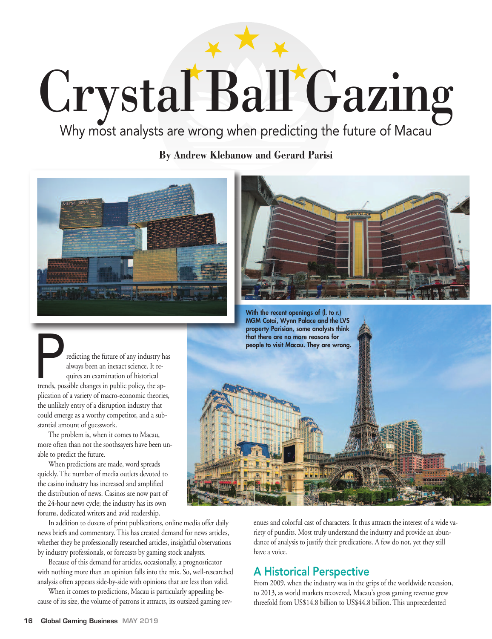## Crystal Ball Gazing

Why most analysts are wrong when predicting the future of Macau

**By Andrew Klebanow and Gerard Parisi**





Fredicting the future of any industry has always been an inexact science. It requires an examination of historical trends, possible changes in public policy, the apalways been an inexact science. It requires an examination of historical plication of a variety of macro-economic theories, the unlikely entry of a disruption industry that could emerge as a worthy competitor, and a substantial amount of guesswork.

The problem is, when it comes to Macau, more often than not the soothsayers have been unable to predict the future.

When predictions are made, word spreads quickly. The number of media outlets devoted to the casino industry has increased and amplified the distribution of news. Casinos are now part of the 24-hour news cycle; the industry has its own forums, dedicated writers and avid readership.

In addition to dozens of print publications, online media offer daily news briefs and commentary. This has created demand for news articles, whether they be professionally researched articles, insightful observations by industry professionals, or forecasts by gaming stock analysts.

Because of this demand for articles, occasionally, a prognosticator with nothing more than an opinion falls into the mix. So, well-researched analysis often appears side-by-side with opinions that are less than valid.

When it comes to predictions, Macau is particularly appealing because of its size, the volume of patrons it attracts, its outsized gaming rev-



enues and colorful cast of characters. It thus attracts the interest of a wide variety of pundits. Most truly understand the industry and provide an abundance of analysis to justify their predications. A few do not, yet they still have a voice.

## A Historical Perspective

From 2009, when the industry was in the grips of the worldwide recession, to 2013, as world markets recovered, Macau's gross gaming revenue grew threefold from US\$14.8 billion to US\$44.8 billion. This unprecedented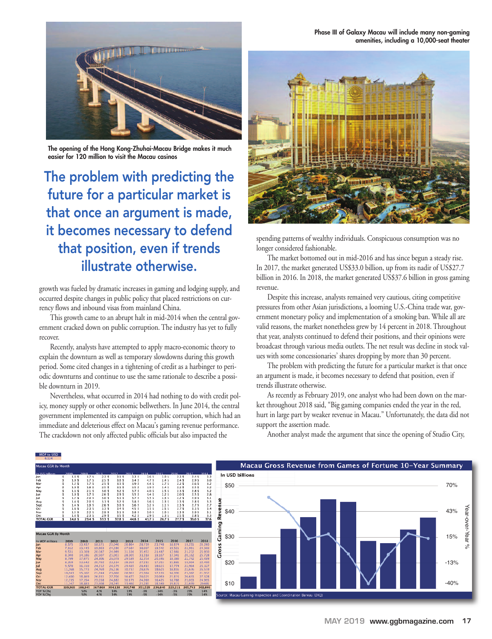**The opening of the Hong Kong-Zhuhai-Macau Bridge makes it much easier for 120 million to visit the Macau casinos**

## The problem with predicting the future for a particular market is that once an argument is made, it becomes necessary to defend that position, even if trends illustrate otherwise.

growth was fueled by dramatic increases in gaming and lodging supply, and occurred despite changes in public policy that placed restrictions on currency flows and inbound visas from mainland China.

This growth came to an abrupt halt in mid-2014 when the central government cracked down on public corruption. The industry has yet to fully recover.

Recently, analysts have attempted to apply macro-economic theory to explain the downturn as well as temporary slowdowns during this growth period. Some cited changes in a tightening of credit as a harbinger to periodic downturns and continue to use the same rationale to describe a possible downturn in 2019.

Nevertheless, what occurred in 2014 had nothing to do with credit policy, money supply or other economic bellwethers. In June 2014, the central government implemented its campaign on public corruption, which had an immediate and deleterious effect on Macau's gaming revenue performance. The crackdown not only affected public officials but also impacted the

Jan<br>Feb Mar<br>Apr May<br>Jun Jul Aug<br>Sept<br>Oct Nov<br>Dec TOTAL

Feb Marian Indiana Park

spending patterns of wealthy individuals. Conspicuous consumption was no longer considered fashionable.

The market bottomed out in mid-2016 and has since begun a steady rise. In 2017, the market generated US\$33.0 billion, up from its nadir of US\$27.7 billion in 2016. In 2018, the market generated US\$37.6 billion in gross gaming revenue.

Despite this increase, analysts remained very cautious, citing competitive pressures from other Asian jurisdictions, a looming U.S.-China trade war, government monetary policy and implementation of a smoking ban. While all are valid reasons, the market nonetheless grew by 14 percent in 2018. Throughout that year, analysts continued to defend their positions, and their opinions were broadcast through various media outlets. The net result was decline in stock values with some concessionaries' shares dropping by more than 30 percent.

The problem with predicting the future for a particular market is that once an argument is made, it becomes necessary to defend that position, even if trends illustrate otherwise.

As recently as February 2019, one analyst who had been down on the market throughout 2018 said, "Big gaming companies ended the year in the red, hurt in large part by weaker revenue in Macau." Unfortunately, the data did not support the assertion made.



Another analyst made the argument that since the opening of Studio City,